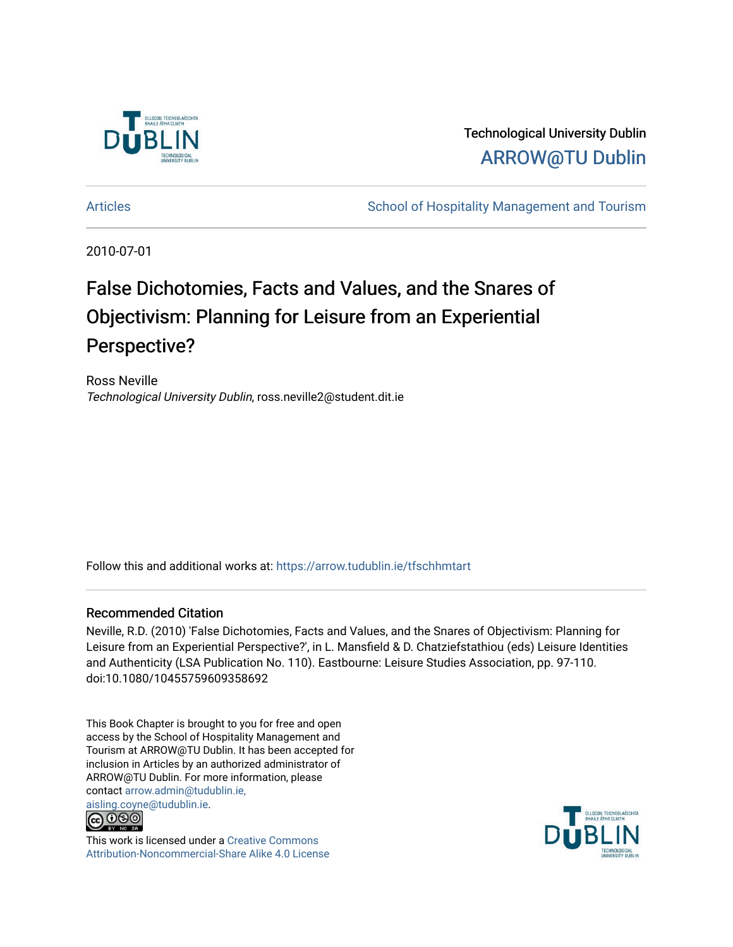

Technological University Dublin [ARROW@TU Dublin](https://arrow.tudublin.ie/) 

[Articles](https://arrow.tudublin.ie/tfschhmtart) **School of Hospitality Management and Tourism** School of Hospitality Management and Tourism

2010-07-01

# False Dichotomies, Facts and Values, and the Snares of Objectivism: Planning for Leisure from an Experiential Perspective?

Ross Neville Technological University Dublin, ross.neville2@student.dit.ie

Follow this and additional works at: [https://arrow.tudublin.ie/tfschhmtart](https://arrow.tudublin.ie/tfschhmtart?utm_source=arrow.tudublin.ie%2Ftfschhmtart%2F41&utm_medium=PDF&utm_campaign=PDFCoverPages) 

#### Recommended Citation

Neville, R.D. (2010) 'False Dichotomies, Facts and Values, and the Snares of Objectivism: Planning for Leisure from an Experiential Perspective?', in L. Mansfield & D. Chatziefstathiou (eds) Leisure Identities and Authenticity (LSA Publication No. 110). Eastbourne: Leisure Studies Association, pp. 97-110. doi:10.1080/10455759609358692

This Book Chapter is brought to you for free and open access by the School of Hospitality Management and Tourism at ARROW@TU Dublin. It has been accepted for inclusion in Articles by an authorized administrator of ARROW@TU Dublin. For more information, please contact [arrow.admin@tudublin.ie,](mailto:arrow.admin@tudublin.ie,%20aisling.coyne@tudublin.ie)  [aisling.coyne@tudublin.ie.](mailto:arrow.admin@tudublin.ie,%20aisling.coyne@tudublin.ie)



This work is licensed under a [Creative Commons](http://creativecommons.org/licenses/by-nc-sa/4.0/) [Attribution-Noncommercial-Share Alike 4.0 License](http://creativecommons.org/licenses/by-nc-sa/4.0/)

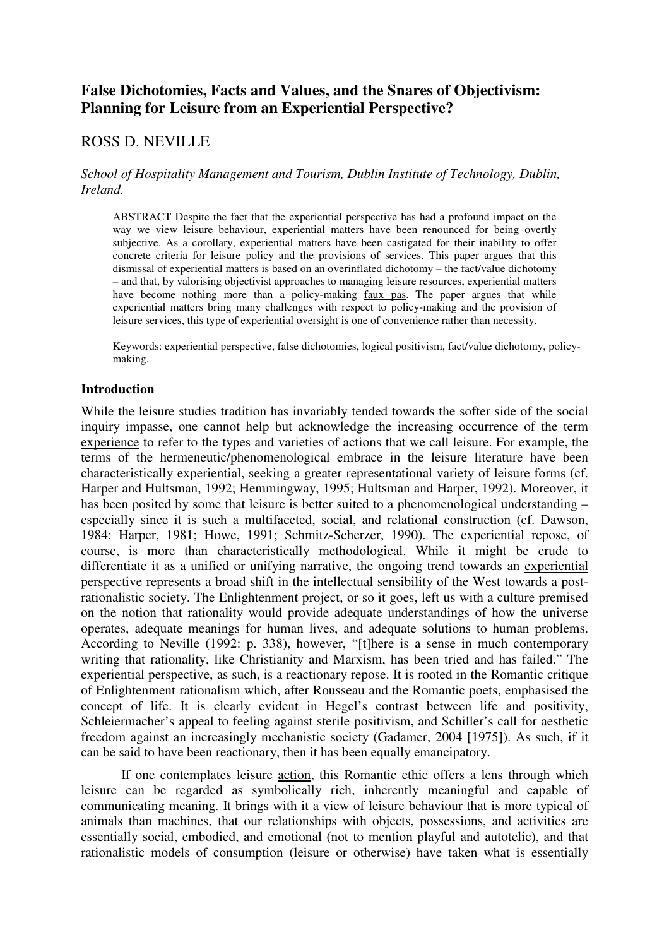# **False Dichotomies, Facts and Values, and the Snares of Objectivism: Planning for Leisure from an Experiential Perspective?**

# ROSS D. NEVILLE

### *School of Hospitality Management and Tourism, Dublin Institute of Technology, Dublin, Ireland.*

ABSTRACT Despite the fact that the experiential perspective has had a profound impact on the way we view leisure behaviour, experiential matters have been renounced for being overtly subjective. As a corollary, experiential matters have been castigated for their inability to offer concrete criteria for leisure policy and the provisions of services. This paper argues that this dismissal of experiential matters is based on an overinflated dichotomy – the fact/value dichotomy – and that, by valorising objectivist approaches to managing leisure resources, experiential matters have become nothing more than a policy-making faux pas. The paper argues that while experiential matters bring many challenges with respect to policy-making and the provision of leisure services, this type of experiential oversight is one of convenience rather than necessity.

Keywords: experiential perspective, false dichotomies, logical positivism, fact/value dichotomy, policymaking.

### **Introduction**

While the leisure studies tradition has invariably tended towards the softer side of the social inquiry impasse, one cannot help but acknowledge the increasing occurrence of the term experience to refer to the types and varieties of actions that we call leisure. For example, the terms of the hermeneutic/phenomenological embrace in the leisure literature have been characteristically experiential, seeking a greater representational variety of leisure forms (cf. Harper and Hultsman, 1992; Hemmingway, 1995; Hultsman and Harper, 1992). Moreover, it has been posited by some that leisure is better suited to a phenomenological understanding – especially since it is such a multifaceted, social, and relational construction (cf. Dawson, 1984: Harper, 1981; Howe, 1991; Schmitz-Scherzer, 1990). The experiential repose, of course, is more than characteristically methodological. While it might be crude to differentiate it as a unified or unifying narrative, the ongoing trend towards an experiential perspective represents a broad shift in the intellectual sensibility of the West towards a postrationalistic society. The Enlightenment project, or so it goes, left us with a culture premised on the notion that rationality would provide adequate understandings of how the universe operates, adequate meanings for human lives, and adequate solutions to human problems. According to Neville (1992: p. 338), however, "[t]here is a sense in much contemporary writing that rationality, like Christianity and Marxism, has been tried and has failed." The experiential perspective, as such, is a reactionary repose. It is rooted in the Romantic critique of Enlightenment rationalism which, after Rousseau and the Romantic poets, emphasised the concept of life. It is clearly evident in Hegel's contrast between life and positivity, Schleiermacher's appeal to feeling against sterile positivism, and Schiller's call for aesthetic freedom against an increasingly mechanistic society (Gadamer, 2004 [1975]). As such, if it can be said to have been reactionary, then it has been equally emancipatory.

If one contemplates leisure action, this Romantic ethic offers a lens through which leisure can be regarded as symbolically rich, inherently meaningful and capable of communicating meaning. It brings with it a view of leisure behaviour that is more typical of animals than machines, that our relationships with objects, possessions, and activities are essentially social, embodied, and emotional (not to mention playful and autotelic), and that rationalistic models of consumption (leisure or otherwise) have taken what is essentially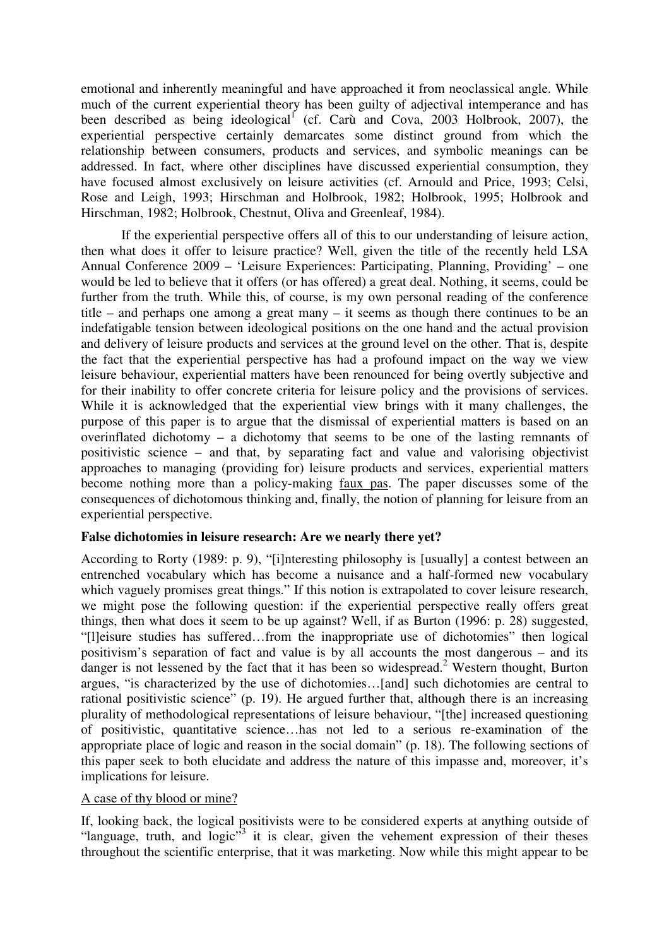emotional and inherently meaningful and have approached it from neoclassical angle. While much of the current experiential theory has been guilty of adjectival intemperance and has been described as being ideological<sup>1</sup> (cf. Carù and Cova, 2003 Holbrook, 2007), the experiential perspective certainly demarcates some distinct ground from which the relationship between consumers, products and services, and symbolic meanings can be addressed. In fact, where other disciplines have discussed experiential consumption, they have focused almost exclusively on leisure activities (cf. Arnould and Price, 1993; Celsi, Rose and Leigh, 1993; Hirschman and Holbrook, 1982; Holbrook, 1995; Holbrook and Hirschman, 1982; Holbrook, Chestnut, Oliva and Greenleaf, 1984).

 If the experiential perspective offers all of this to our understanding of leisure action, then what does it offer to leisure practice? Well, given the title of the recently held LSA Annual Conference 2009 – 'Leisure Experiences: Participating, Planning, Providing' – one would be led to believe that it offers (or has offered) a great deal. Nothing, it seems, could be further from the truth. While this, of course, is my own personal reading of the conference title – and perhaps one among a great many – it seems as though there continues to be an indefatigable tension between ideological positions on the one hand and the actual provision and delivery of leisure products and services at the ground level on the other. That is, despite the fact that the experiential perspective has had a profound impact on the way we view leisure behaviour, experiential matters have been renounced for being overtly subjective and for their inability to offer concrete criteria for leisure policy and the provisions of services. While it is acknowledged that the experiential view brings with it many challenges, the purpose of this paper is to argue that the dismissal of experiential matters is based on an overinflated dichotomy – a dichotomy that seems to be one of the lasting remnants of positivistic science – and that, by separating fact and value and valorising objectivist approaches to managing (providing for) leisure products and services, experiential matters become nothing more than a policy-making faux pas. The paper discusses some of the consequences of dichotomous thinking and, finally, the notion of planning for leisure from an experiential perspective.

# **False dichotomies in leisure research: Are we nearly there yet?**

According to Rorty (1989: p. 9), "[i]nteresting philosophy is [usually] a contest between an entrenched vocabulary which has become a nuisance and a half-formed new vocabulary which vaguely promises great things." If this notion is extrapolated to cover leisure research, we might pose the following question: if the experiential perspective really offers great things, then what does it seem to be up against? Well, if as Burton (1996: p. 28) suggested, "[l]eisure studies has suffered…from the inappropriate use of dichotomies" then logical positivism's separation of fact and value is by all accounts the most dangerous – and its danger is not lessened by the fact that it has been so widespread.<sup>2</sup> Western thought, Burton argues, "is characterized by the use of dichotomies…[and] such dichotomies are central to rational positivistic science" (p. 19). He argued further that, although there is an increasing plurality of methodological representations of leisure behaviour, "[the] increased questioning of positivistic, quantitative science…has not led to a serious re-examination of the appropriate place of logic and reason in the social domain" (p. 18). The following sections of this paper seek to both elucidate and address the nature of this impasse and, moreover, it's implications for leisure.

# A case of thy blood or mine?

If, looking back, the logical positivists were to be considered experts at anything outside of "language, truth, and  $logic$ <sup>3</sup> it is clear, given the vehement expression of their theses throughout the scientific enterprise, that it was marketing. Now while this might appear to be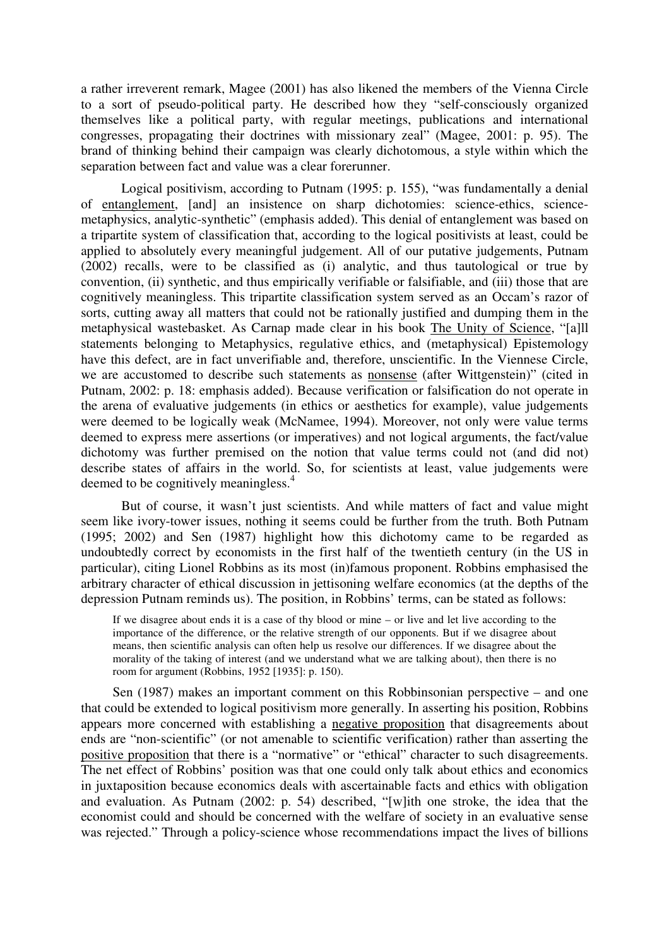a rather irreverent remark, Magee (2001) has also likened the members of the Vienna Circle to a sort of pseudo-political party. He described how they "self-consciously organized themselves like a political party, with regular meetings, publications and international congresses, propagating their doctrines with missionary zeal" (Magee, 2001: p. 95). The brand of thinking behind their campaign was clearly dichotomous, a style within which the separation between fact and value was a clear forerunner.

 Logical positivism, according to Putnam (1995: p. 155), "was fundamentally a denial of entanglement, [and] an insistence on sharp dichotomies: science-ethics, sciencemetaphysics, analytic-synthetic" (emphasis added). This denial of entanglement was based on a tripartite system of classification that, according to the logical positivists at least, could be applied to absolutely every meaningful judgement. All of our putative judgements, Putnam (2002) recalls, were to be classified as (i) analytic, and thus tautological or true by convention, (ii) synthetic, and thus empirically verifiable or falsifiable, and (iii) those that are cognitively meaningless. This tripartite classification system served as an Occam's razor of sorts, cutting away all matters that could not be rationally justified and dumping them in the metaphysical wastebasket. As Carnap made clear in his book The Unity of Science, "[a]ll statements belonging to Metaphysics, regulative ethics, and (metaphysical) Epistemology have this defect, are in fact unverifiable and, therefore, unscientific. In the Viennese Circle, we are accustomed to describe such statements as nonsense (after Wittgenstein)" (cited in Putnam, 2002: p. 18: emphasis added). Because verification or falsification do not operate in the arena of evaluative judgements (in ethics or aesthetics for example), value judgements were deemed to be logically weak (McNamee, 1994). Moreover, not only were value terms deemed to express mere assertions (or imperatives) and not logical arguments, the fact/value dichotomy was further premised on the notion that value terms could not (and did not) describe states of affairs in the world. So, for scientists at least, value judgements were deemed to be cognitively meaningless.<sup>4</sup>

 But of course, it wasn't just scientists. And while matters of fact and value might seem like ivory-tower issues, nothing it seems could be further from the truth. Both Putnam (1995; 2002) and Sen (1987) highlight how this dichotomy came to be regarded as undoubtedly correct by economists in the first half of the twentieth century (in the US in particular), citing Lionel Robbins as its most (in)famous proponent. Robbins emphasised the arbitrary character of ethical discussion in jettisoning welfare economics (at the depths of the depression Putnam reminds us). The position, in Robbins' terms, can be stated as follows:

If we disagree about ends it is a case of thy blood or mine – or live and let live according to the importance of the difference, or the relative strength of our opponents. But if we disagree about means, then scientific analysis can often help us resolve our differences. If we disagree about the morality of the taking of interest (and we understand what we are talking about), then there is no room for argument (Robbins, 1952 [1935]: p. 150).

Sen (1987) makes an important comment on this Robbinsonian perspective – and one that could be extended to logical positivism more generally. In asserting his position, Robbins appears more concerned with establishing a negative proposition that disagreements about ends are "non-scientific" (or not amenable to scientific verification) rather than asserting the positive proposition that there is a "normative" or "ethical" character to such disagreements. The net effect of Robbins' position was that one could only talk about ethics and economics in juxtaposition because economics deals with ascertainable facts and ethics with obligation and evaluation. As Putnam (2002: p. 54) described, "[w]ith one stroke, the idea that the economist could and should be concerned with the welfare of society in an evaluative sense was rejected." Through a policy-science whose recommendations impact the lives of billions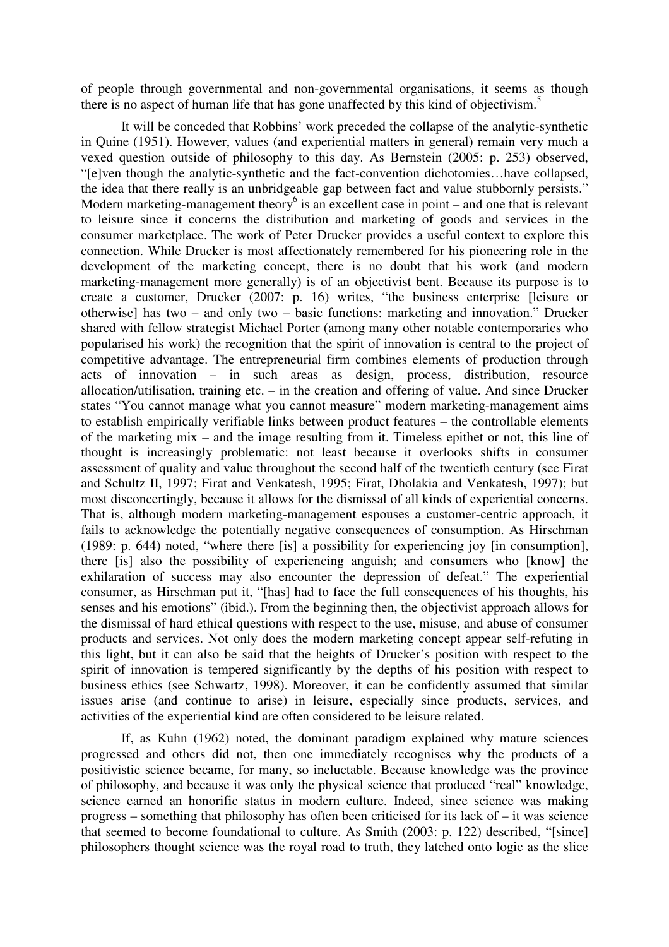of people through governmental and non-governmental organisations, it seems as though there is no aspect of human life that has gone unaffected by this kind of objectivism.<sup>5</sup>

 It will be conceded that Robbins' work preceded the collapse of the analytic-synthetic in Quine (1951). However, values (and experiential matters in general) remain very much a vexed question outside of philosophy to this day. As Bernstein (2005: p. 253) observed, "[e]ven though the analytic-synthetic and the fact-convention dichotomies…have collapsed, the idea that there really is an unbridgeable gap between fact and value stubbornly persists." Modern marketing-management theory<sup>6</sup> is an excellent case in point – and one that is relevant to leisure since it concerns the distribution and marketing of goods and services in the consumer marketplace. The work of Peter Drucker provides a useful context to explore this connection. While Drucker is most affectionately remembered for his pioneering role in the development of the marketing concept, there is no doubt that his work (and modern marketing-management more generally) is of an objectivist bent. Because its purpose is to create a customer, Drucker (2007: p. 16) writes, "the business enterprise [leisure or otherwise] has two – and only two – basic functions: marketing and innovation." Drucker shared with fellow strategist Michael Porter (among many other notable contemporaries who popularised his work) the recognition that the spirit of innovation is central to the project of competitive advantage. The entrepreneurial firm combines elements of production through acts of innovation – in such areas as design, process, distribution, resource allocation/utilisation, training etc. – in the creation and offering of value. And since Drucker states "You cannot manage what you cannot measure" modern marketing-management aims to establish empirically verifiable links between product features – the controllable elements of the marketing mix – and the image resulting from it. Timeless epithet or not, this line of thought is increasingly problematic: not least because it overlooks shifts in consumer assessment of quality and value throughout the second half of the twentieth century (see Firat and Schultz II, 1997; Firat and Venkatesh, 1995; Firat, Dholakia and Venkatesh, 1997); but most disconcertingly, because it allows for the dismissal of all kinds of experiential concerns. That is, although modern marketing-management espouses a customer-centric approach, it fails to acknowledge the potentially negative consequences of consumption. As Hirschman (1989: p. 644) noted, "where there [is] a possibility for experiencing joy [in consumption], there [is] also the possibility of experiencing anguish; and consumers who [know] the exhilaration of success may also encounter the depression of defeat." The experiential consumer, as Hirschman put it, "[has] had to face the full consequences of his thoughts, his senses and his emotions" (ibid.). From the beginning then, the objectivist approach allows for the dismissal of hard ethical questions with respect to the use, misuse, and abuse of consumer products and services. Not only does the modern marketing concept appear self-refuting in this light, but it can also be said that the heights of Drucker's position with respect to the spirit of innovation is tempered significantly by the depths of his position with respect to business ethics (see Schwartz, 1998). Moreover, it can be confidently assumed that similar issues arise (and continue to arise) in leisure, especially since products, services, and activities of the experiential kind are often considered to be leisure related.

 If, as Kuhn (1962) noted, the dominant paradigm explained why mature sciences progressed and others did not, then one immediately recognises why the products of a positivistic science became, for many, so ineluctable. Because knowledge was the province of philosophy, and because it was only the physical science that produced "real" knowledge, science earned an honorific status in modern culture. Indeed, since science was making progress – something that philosophy has often been criticised for its lack of – it was science that seemed to become foundational to culture. As Smith (2003: p. 122) described, "[since] philosophers thought science was the royal road to truth, they latched onto logic as the slice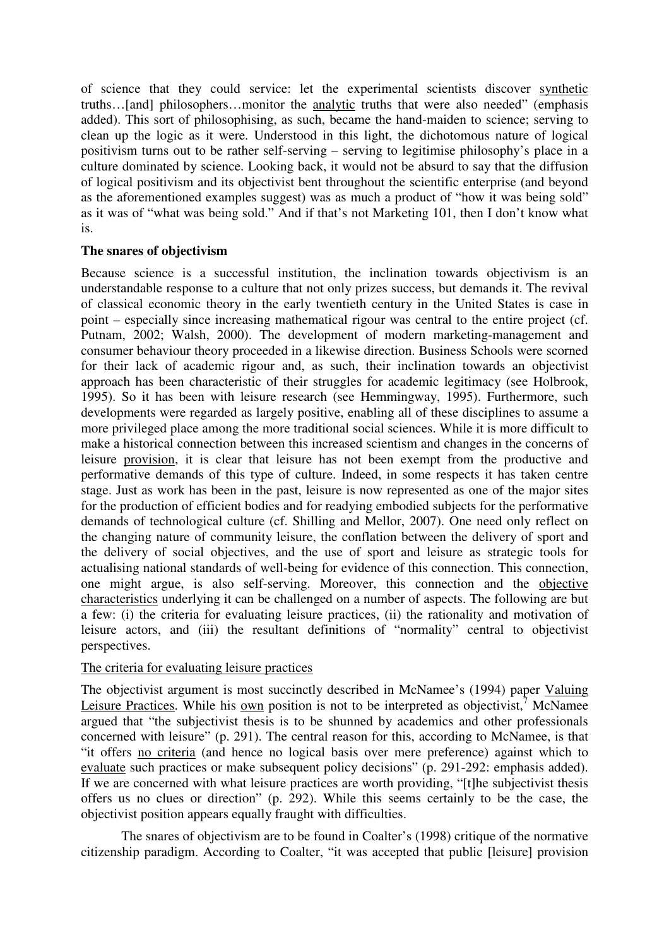of science that they could service: let the experimental scientists discover synthetic truths…[and] philosophers…monitor the analytic truths that were also needed" (emphasis added). This sort of philosophising, as such, became the hand-maiden to science; serving to clean up the logic as it were. Understood in this light, the dichotomous nature of logical positivism turns out to be rather self-serving – serving to legitimise philosophy's place in a culture dominated by science. Looking back, it would not be absurd to say that the diffusion of logical positivism and its objectivist bent throughout the scientific enterprise (and beyond as the aforementioned examples suggest) was as much a product of "how it was being sold" as it was of "what was being sold." And if that's not Marketing 101, then I don't know what is.

# **The snares of objectivism**

Because science is a successful institution, the inclination towards objectivism is an understandable response to a culture that not only prizes success, but demands it. The revival of classical economic theory in the early twentieth century in the United States is case in point – especially since increasing mathematical rigour was central to the entire project (cf. Putnam, 2002; Walsh, 2000). The development of modern marketing-management and consumer behaviour theory proceeded in a likewise direction. Business Schools were scorned for their lack of academic rigour and, as such, their inclination towards an objectivist approach has been characteristic of their struggles for academic legitimacy (see Holbrook, 1995). So it has been with leisure research (see Hemmingway, 1995). Furthermore, such developments were regarded as largely positive, enabling all of these disciplines to assume a more privileged place among the more traditional social sciences. While it is more difficult to make a historical connection between this increased scientism and changes in the concerns of leisure provision, it is clear that leisure has not been exempt from the productive and performative demands of this type of culture. Indeed, in some respects it has taken centre stage. Just as work has been in the past, leisure is now represented as one of the major sites for the production of efficient bodies and for readying embodied subjects for the performative demands of technological culture (cf. Shilling and Mellor, 2007). One need only reflect on the changing nature of community leisure, the conflation between the delivery of sport and the delivery of social objectives, and the use of sport and leisure as strategic tools for actualising national standards of well-being for evidence of this connection. This connection, one might argue, is also self-serving. Moreover, this connection and the objective characteristics underlying it can be challenged on a number of aspects. The following are but a few: (i) the criteria for evaluating leisure practices, (ii) the rationality and motivation of leisure actors, and (iii) the resultant definitions of "normality" central to objectivist perspectives.

# The criteria for evaluating leisure practices

The objectivist argument is most succinctly described in McNamee's (1994) paper Valuing Leisure Practices. While his own position is not to be interpreted as objectivist,<sup>7</sup> McNamee argued that "the subjectivist thesis is to be shunned by academics and other professionals concerned with leisure" (p. 291). The central reason for this, according to McNamee, is that "it offers no criteria (and hence no logical basis over mere preference) against which to evaluate such practices or make subsequent policy decisions" (p. 291-292: emphasis added). If we are concerned with what leisure practices are worth providing, "[t]he subjectivist thesis offers us no clues or direction" (p. 292). While this seems certainly to be the case, the objectivist position appears equally fraught with difficulties.

The snares of objectivism are to be found in Coalter's (1998) critique of the normative citizenship paradigm. According to Coalter, "it was accepted that public [leisure] provision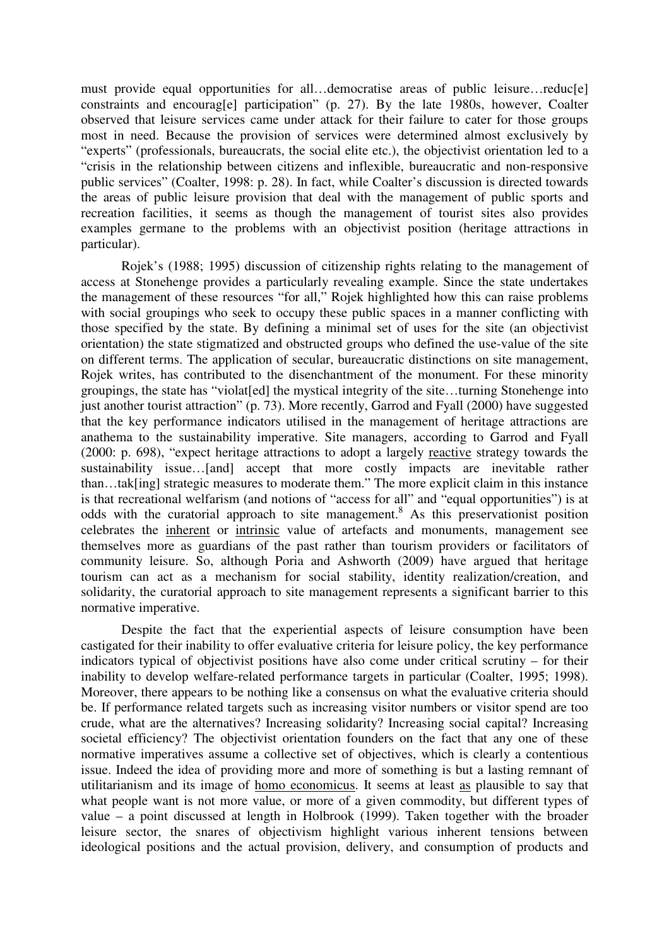must provide equal opportunities for all…democratise areas of public leisure…reduc[e] constraints and encourag[e] participation" (p. 27). By the late 1980s, however, Coalter observed that leisure services came under attack for their failure to cater for those groups most in need. Because the provision of services were determined almost exclusively by "experts" (professionals, bureaucrats, the social elite etc.), the objectivist orientation led to a "crisis in the relationship between citizens and inflexible, bureaucratic and non-responsive public services" (Coalter, 1998: p. 28). In fact, while Coalter's discussion is directed towards the areas of public leisure provision that deal with the management of public sports and recreation facilities, it seems as though the management of tourist sites also provides examples germane to the problems with an objectivist position (heritage attractions in particular).

Rojek's (1988; 1995) discussion of citizenship rights relating to the management of access at Stonehenge provides a particularly revealing example. Since the state undertakes the management of these resources "for all," Rojek highlighted how this can raise problems with social groupings who seek to occupy these public spaces in a manner conflicting with those specified by the state. By defining a minimal set of uses for the site (an objectivist orientation) the state stigmatized and obstructed groups who defined the use-value of the site on different terms. The application of secular, bureaucratic distinctions on site management, Rojek writes, has contributed to the disenchantment of the monument. For these minority groupings, the state has "violat[ed] the mystical integrity of the site…turning Stonehenge into just another tourist attraction" (p. 73). More recently, Garrod and Fyall (2000) have suggested that the key performance indicators utilised in the management of heritage attractions are anathema to the sustainability imperative. Site managers, according to Garrod and Fyall (2000: p. 698), "expect heritage attractions to adopt a largely reactive strategy towards the sustainability issue…[and] accept that more costly impacts are inevitable rather than…tak[ing] strategic measures to moderate them." The more explicit claim in this instance is that recreational welfarism (and notions of "access for all" and "equal opportunities") is at odds with the curatorial approach to site management.<sup>8</sup> As this preservationist position celebrates the inherent or intrinsic value of artefacts and monuments, management see themselves more as guardians of the past rather than tourism providers or facilitators of community leisure. So, although Poria and Ashworth (2009) have argued that heritage tourism can act as a mechanism for social stability, identity realization/creation, and solidarity, the curatorial approach to site management represents a significant barrier to this normative imperative.

Despite the fact that the experiential aspects of leisure consumption have been castigated for their inability to offer evaluative criteria for leisure policy, the key performance indicators typical of objectivist positions have also come under critical scrutiny – for their inability to develop welfare-related performance targets in particular (Coalter, 1995; 1998). Moreover, there appears to be nothing like a consensus on what the evaluative criteria should be. If performance related targets such as increasing visitor numbers or visitor spend are too crude, what are the alternatives? Increasing solidarity? Increasing social capital? Increasing societal efficiency? The objectivist orientation founders on the fact that any one of these normative imperatives assume a collective set of objectives, which is clearly a contentious issue. Indeed the idea of providing more and more of something is but a lasting remnant of utilitarianism and its image of homo economicus. It seems at least as plausible to say that what people want is not more value, or more of a given commodity, but different types of value – a point discussed at length in Holbrook (1999). Taken together with the broader leisure sector, the snares of objectivism highlight various inherent tensions between ideological positions and the actual provision, delivery, and consumption of products and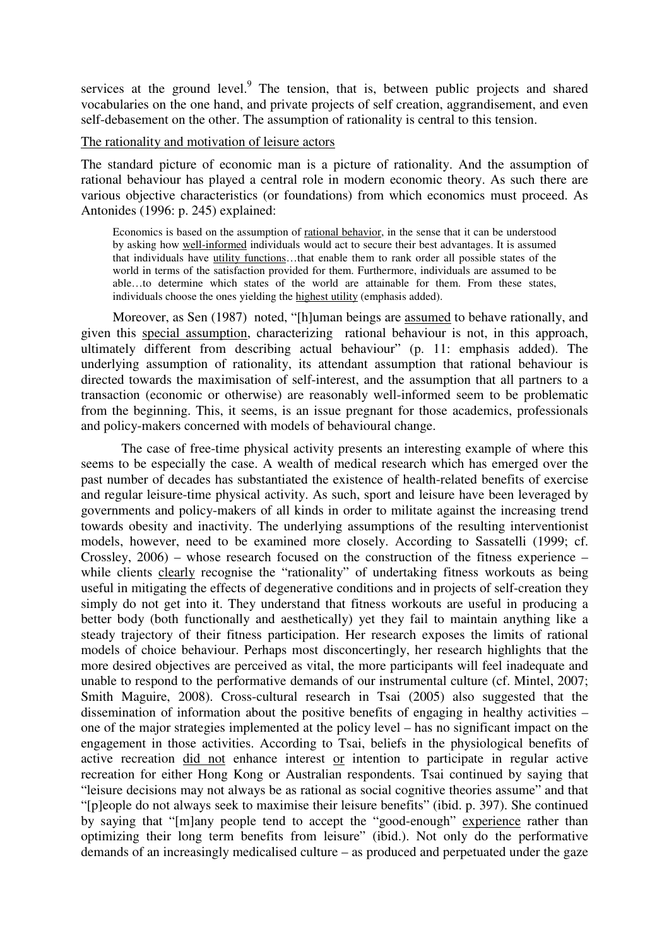services at the ground level. $9$  The tension, that is, between public projects and shared vocabularies on the one hand, and private projects of self creation, aggrandisement, and even self-debasement on the other. The assumption of rationality is central to this tension.

#### The rationality and motivation of leisure actors

The standard picture of economic man is a picture of rationality. And the assumption of rational behaviour has played a central role in modern economic theory. As such there are various objective characteristics (or foundations) from which economics must proceed. As Antonides (1996: p. 245) explained:

Economics is based on the assumption of rational behavior, in the sense that it can be understood by asking how well-informed individuals would act to secure their best advantages. It is assumed that individuals have utility functions…that enable them to rank order all possible states of the world in terms of the satisfaction provided for them. Furthermore, individuals are assumed to be able…to determine which states of the world are attainable for them. From these states, individuals choose the ones yielding the highest utility (emphasis added).

Moreover, as Sen (1987) noted, "[h]uman beings are assumed to behave rationally, and given this special assumption, characterizing rational behaviour is not, in this approach, ultimately different from describing actual behaviour" (p. 11: emphasis added). The underlying assumption of rationality, its attendant assumption that rational behaviour is directed towards the maximisation of self-interest, and the assumption that all partners to a transaction (economic or otherwise) are reasonably well-informed seem to be problematic from the beginning. This, it seems, is an issue pregnant for those academics, professionals and policy-makers concerned with models of behavioural change.

The case of free-time physical activity presents an interesting example of where this seems to be especially the case. A wealth of medical research which has emerged over the past number of decades has substantiated the existence of health-related benefits of exercise and regular leisure-time physical activity. As such, sport and leisure have been leveraged by governments and policy-makers of all kinds in order to militate against the increasing trend towards obesity and inactivity. The underlying assumptions of the resulting interventionist models, however, need to be examined more closely. According to Sassatelli (1999; cf. Crossley, 2006) – whose research focused on the construction of the fitness experience – while clients clearly recognise the "rationality" of undertaking fitness workouts as being useful in mitigating the effects of degenerative conditions and in projects of self-creation they simply do not get into it. They understand that fitness workouts are useful in producing a better body (both functionally and aesthetically) yet they fail to maintain anything like a steady trajectory of their fitness participation. Her research exposes the limits of rational models of choice behaviour. Perhaps most disconcertingly, her research highlights that the more desired objectives are perceived as vital, the more participants will feel inadequate and unable to respond to the performative demands of our instrumental culture (cf. Mintel, 2007; Smith Maguire, 2008). Cross-cultural research in Tsai (2005) also suggested that the dissemination of information about the positive benefits of engaging in healthy activities – one of the major strategies implemented at the policy level – has no significant impact on the engagement in those activities. According to Tsai, beliefs in the physiological benefits of active recreation did not enhance interest or intention to participate in regular active recreation for either Hong Kong or Australian respondents. Tsai continued by saying that "leisure decisions may not always be as rational as social cognitive theories assume" and that "[p]eople do not always seek to maximise their leisure benefits" (ibid. p. 397). She continued by saying that "[m]any people tend to accept the "good-enough" experience rather than optimizing their long term benefits from leisure" (ibid.). Not only do the performative demands of an increasingly medicalised culture – as produced and perpetuated under the gaze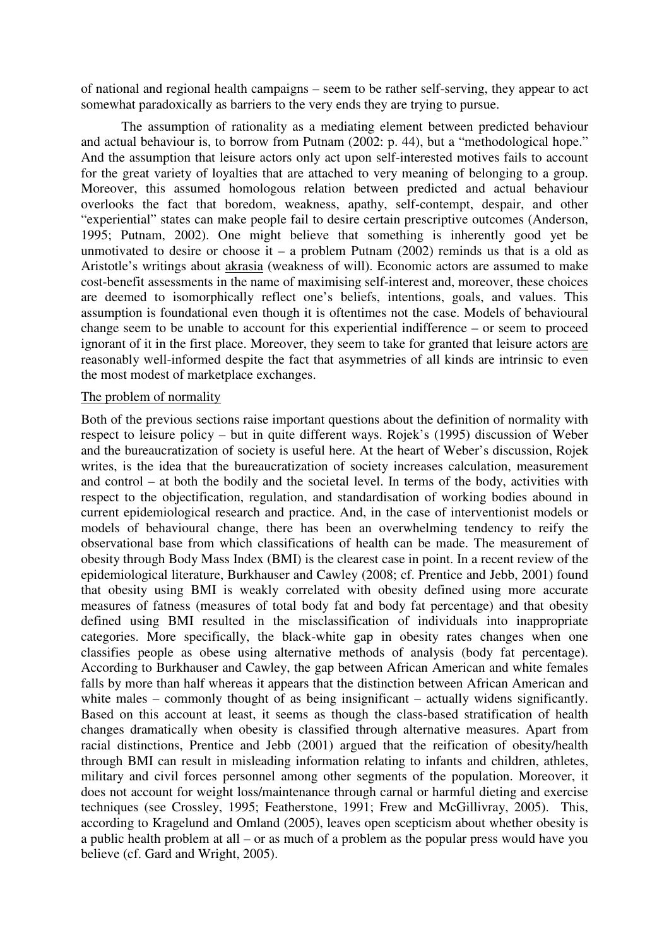of national and regional health campaigns – seem to be rather self-serving, they appear to act somewhat paradoxically as barriers to the very ends they are trying to pursue.

The assumption of rationality as a mediating element between predicted behaviour and actual behaviour is, to borrow from Putnam (2002: p. 44), but a "methodological hope." And the assumption that leisure actors only act upon self-interested motives fails to account for the great variety of loyalties that are attached to very meaning of belonging to a group. Moreover, this assumed homologous relation between predicted and actual behaviour overlooks the fact that boredom, weakness, apathy, self-contempt, despair, and other "experiential" states can make people fail to desire certain prescriptive outcomes (Anderson, 1995; Putnam, 2002). One might believe that something is inherently good yet be unmotivated to desire or choose it – a problem Putnam  $(2002)$  reminds us that is a old as Aristotle's writings about akrasia (weakness of will). Economic actors are assumed to make cost-benefit assessments in the name of maximising self-interest and, moreover, these choices are deemed to isomorphically reflect one's beliefs, intentions, goals, and values. This assumption is foundational even though it is oftentimes not the case. Models of behavioural change seem to be unable to account for this experiential indifference – or seem to proceed ignorant of it in the first place. Moreover, they seem to take for granted that leisure actors are reasonably well-informed despite the fact that asymmetries of all kinds are intrinsic to even the most modest of marketplace exchanges.

#### The problem of normality

Both of the previous sections raise important questions about the definition of normality with respect to leisure policy – but in quite different ways. Rojek's (1995) discussion of Weber and the bureaucratization of society is useful here. At the heart of Weber's discussion, Rojek writes, is the idea that the bureaucratization of society increases calculation, measurement and control – at both the bodily and the societal level. In terms of the body, activities with respect to the objectification, regulation, and standardisation of working bodies abound in current epidemiological research and practice. And, in the case of interventionist models or models of behavioural change, there has been an overwhelming tendency to reify the observational base from which classifications of health can be made. The measurement of obesity through Body Mass Index (BMI) is the clearest case in point. In a recent review of the epidemiological literature, Burkhauser and Cawley (2008; cf. Prentice and Jebb, 2001) found that obesity using BMI is weakly correlated with obesity defined using more accurate measures of fatness (measures of total body fat and body fat percentage) and that obesity defined using BMI resulted in the misclassification of individuals into inappropriate categories. More specifically, the black-white gap in obesity rates changes when one classifies people as obese using alternative methods of analysis (body fat percentage). According to Burkhauser and Cawley, the gap between African American and white females falls by more than half whereas it appears that the distinction between African American and white males – commonly thought of as being insignificant – actually widens significantly. Based on this account at least, it seems as though the class-based stratification of health changes dramatically when obesity is classified through alternative measures. Apart from racial distinctions, Prentice and Jebb (2001) argued that the reification of obesity/health through BMI can result in misleading information relating to infants and children, athletes, military and civil forces personnel among other segments of the population. Moreover, it does not account for weight loss/maintenance through carnal or harmful dieting and exercise techniques (see Crossley, 1995; Featherstone, 1991; Frew and McGillivray, 2005). This, according to Kragelund and Omland (2005), leaves open scepticism about whether obesity is a public health problem at all – or as much of a problem as the popular press would have you believe (cf. Gard and Wright, 2005).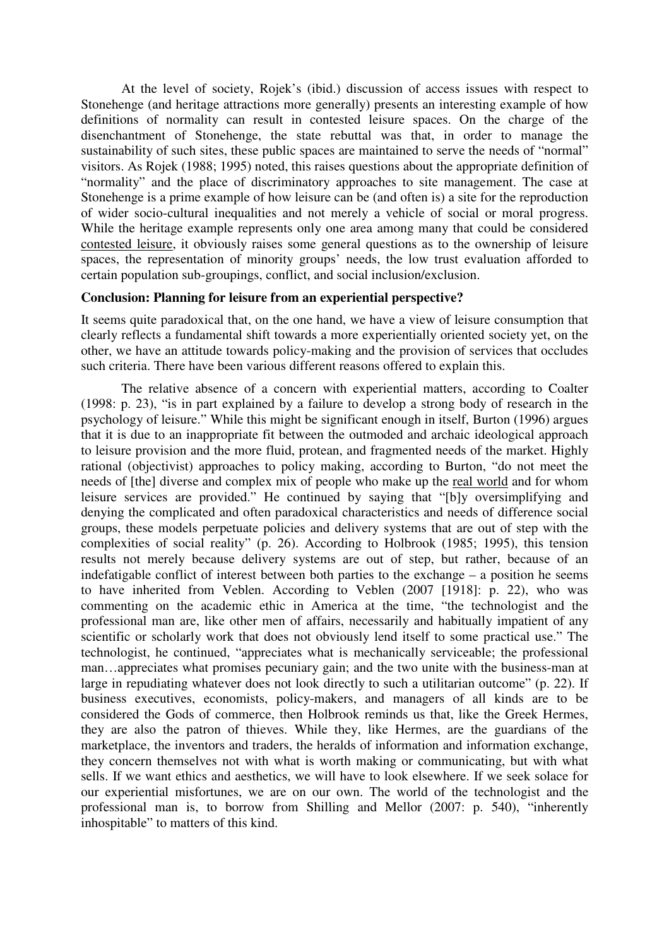At the level of society, Rojek's (ibid.) discussion of access issues with respect to Stonehenge (and heritage attractions more generally) presents an interesting example of how definitions of normality can result in contested leisure spaces. On the charge of the disenchantment of Stonehenge, the state rebuttal was that, in order to manage the sustainability of such sites, these public spaces are maintained to serve the needs of "normal" visitors. As Rojek (1988; 1995) noted, this raises questions about the appropriate definition of "normality" and the place of discriminatory approaches to site management. The case at Stonehenge is a prime example of how leisure can be (and often is) a site for the reproduction of wider socio-cultural inequalities and not merely a vehicle of social or moral progress. While the heritage example represents only one area among many that could be considered contested leisure, it obviously raises some general questions as to the ownership of leisure spaces, the representation of minority groups' needs, the low trust evaluation afforded to certain population sub-groupings, conflict, and social inclusion/exclusion.

### **Conclusion: Planning for leisure from an experiential perspective?**

It seems quite paradoxical that, on the one hand, we have a view of leisure consumption that clearly reflects a fundamental shift towards a more experientially oriented society yet, on the other, we have an attitude towards policy-making and the provision of services that occludes such criteria. There have been various different reasons offered to explain this.

The relative absence of a concern with experiential matters, according to Coalter (1998: p. 23), "is in part explained by a failure to develop a strong body of research in the psychology of leisure." While this might be significant enough in itself, Burton (1996) argues that it is due to an inappropriate fit between the outmoded and archaic ideological approach to leisure provision and the more fluid, protean, and fragmented needs of the market. Highly rational (objectivist) approaches to policy making, according to Burton, "do not meet the needs of [the] diverse and complex mix of people who make up the real world and for whom leisure services are provided." He continued by saying that "[b]y oversimplifying and denying the complicated and often paradoxical characteristics and needs of difference social groups, these models perpetuate policies and delivery systems that are out of step with the complexities of social reality" (p. 26). According to Holbrook (1985; 1995), this tension results not merely because delivery systems are out of step, but rather, because of an indefatigable conflict of interest between both parties to the exchange – a position he seems to have inherited from Veblen. According to Veblen (2007 [1918]: p. 22), who was commenting on the academic ethic in America at the time, "the technologist and the professional man are, like other men of affairs, necessarily and habitually impatient of any scientific or scholarly work that does not obviously lend itself to some practical use." The technologist, he continued, "appreciates what is mechanically serviceable; the professional man…appreciates what promises pecuniary gain; and the two unite with the business-man at large in repudiating whatever does not look directly to such a utilitarian outcome" (p. 22). If business executives, economists, policy-makers, and managers of all kinds are to be considered the Gods of commerce, then Holbrook reminds us that, like the Greek Hermes, they are also the patron of thieves. While they, like Hermes, are the guardians of the marketplace, the inventors and traders, the heralds of information and information exchange, they concern themselves not with what is worth making or communicating, but with what sells. If we want ethics and aesthetics, we will have to look elsewhere. If we seek solace for our experiential misfortunes, we are on our own. The world of the technologist and the professional man is, to borrow from Shilling and Mellor (2007: p. 540), "inherently inhospitable" to matters of this kind.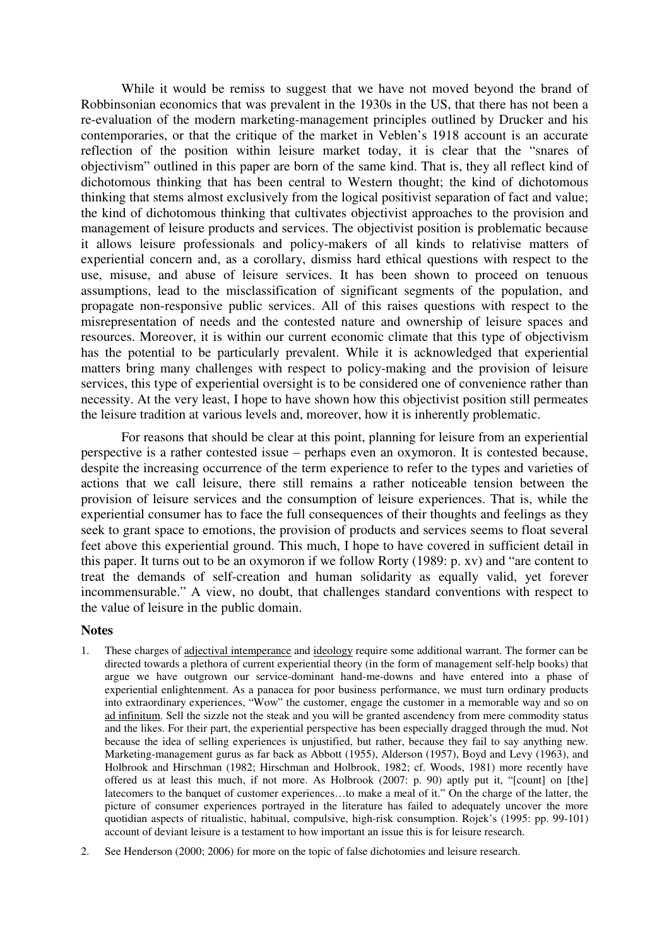While it would be remiss to suggest that we have not moved beyond the brand of Robbinsonian economics that was prevalent in the 1930s in the US, that there has not been a re-evaluation of the modern marketing-management principles outlined by Drucker and his contemporaries, or that the critique of the market in Veblen's 1918 account is an accurate reflection of the position within leisure market today, it is clear that the "snares of objectivism" outlined in this paper are born of the same kind. That is, they all reflect kind of dichotomous thinking that has been central to Western thought; the kind of dichotomous thinking that stems almost exclusively from the logical positivist separation of fact and value; the kind of dichotomous thinking that cultivates objectivist approaches to the provision and management of leisure products and services. The objectivist position is problematic because it allows leisure professionals and policy-makers of all kinds to relativise matters of experiential concern and, as a corollary, dismiss hard ethical questions with respect to the use, misuse, and abuse of leisure services. It has been shown to proceed on tenuous assumptions, lead to the misclassification of significant segments of the population, and propagate non-responsive public services. All of this raises questions with respect to the misrepresentation of needs and the contested nature and ownership of leisure spaces and resources. Moreover, it is within our current economic climate that this type of objectivism has the potential to be particularly prevalent. While it is acknowledged that experiential matters bring many challenges with respect to policy-making and the provision of leisure services, this type of experiential oversight is to be considered one of convenience rather than necessity. At the very least, I hope to have shown how this objectivist position still permeates the leisure tradition at various levels and, moreover, how it is inherently problematic.

For reasons that should be clear at this point, planning for leisure from an experiential perspective is a rather contested issue – perhaps even an oxymoron. It is contested because, despite the increasing occurrence of the term experience to refer to the types and varieties of actions that we call leisure, there still remains a rather noticeable tension between the provision of leisure services and the consumption of leisure experiences. That is, while the experiential consumer has to face the full consequences of their thoughts and feelings as they seek to grant space to emotions, the provision of products and services seems to float several feet above this experiential ground. This much, I hope to have covered in sufficient detail in this paper. It turns out to be an oxymoron if we follow Rorty (1989: p. xv) and "are content to treat the demands of self-creation and human solidarity as equally valid, yet forever incommensurable." A view, no doubt, that challenges standard conventions with respect to the value of leisure in the public domain.

#### **Notes**

- 1. These charges of adjectival intemperance and ideology require some additional warrant. The former can be directed towards a plethora of current experiential theory (in the form of management self-help books) that argue we have outgrown our service-dominant hand-me-downs and have entered into a phase of experiential enlightenment. As a panacea for poor business performance, we must turn ordinary products into extraordinary experiences, "Wow" the customer, engage the customer in a memorable way and so on ad infinitum. Sell the sizzle not the steak and you will be granted ascendency from mere commodity status and the likes. For their part, the experiential perspective has been especially dragged through the mud. Not because the idea of selling experiences is unjustified, but rather, because they fail to say anything new. Marketing-management gurus as far back as Abbott (1955), Alderson (1957), Boyd and Levy (1963), and Holbrook and Hirschman (1982; Hirschman and Holbrook, 1982; cf. Woods, 1981) more recently have offered us at least this much, if not more. As Holbrook (2007: p. 90) aptly put it, "[count] on [the] latecomers to the banquet of customer experiences…to make a meal of it." On the charge of the latter, the picture of consumer experiences portrayed in the literature has failed to adequately uncover the more quotidian aspects of ritualistic, habitual, compulsive, high-risk consumption. Rojek's (1995: pp. 99-101) account of deviant leisure is a testament to how important an issue this is for leisure research.
- 2. See Henderson (2000; 2006) for more on the topic of false dichotomies and leisure research.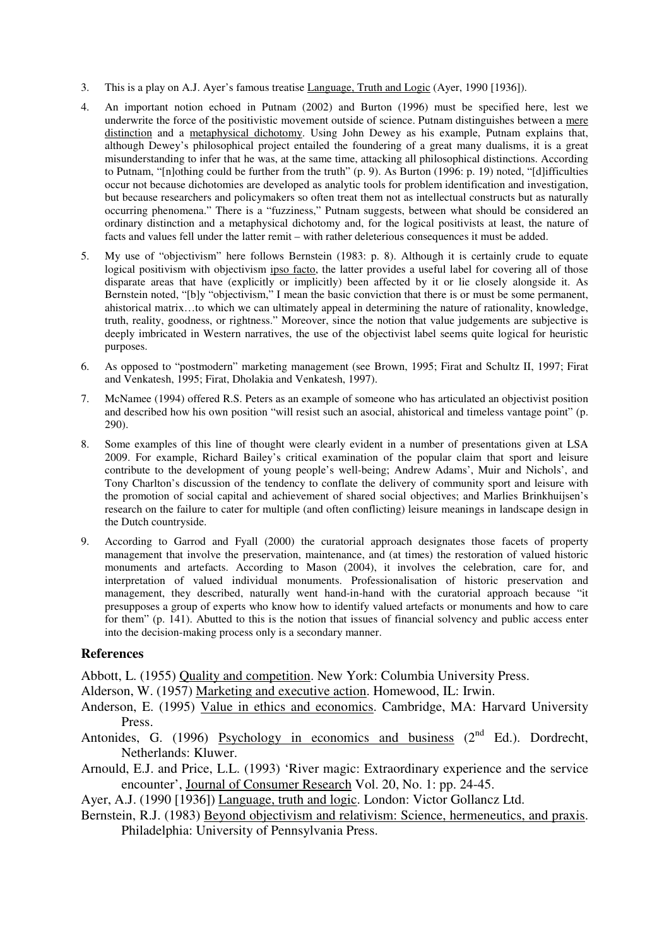- 3. This is a play on A.J. Ayer's famous treatise Language, Truth and Logic (Ayer, 1990 [1936]).
- 4. An important notion echoed in Putnam (2002) and Burton (1996) must be specified here, lest we underwrite the force of the positivistic movement outside of science. Putnam distinguishes between a mere distinction and a metaphysical dichotomy. Using John Dewey as his example, Putnam explains that, although Dewey's philosophical project entailed the foundering of a great many dualisms, it is a great misunderstanding to infer that he was, at the same time, attacking all philosophical distinctions. According to Putnam, "[n]othing could be further from the truth" (p. 9). As Burton (1996: p. 19) noted, "[d]ifficulties occur not because dichotomies are developed as analytic tools for problem identification and investigation, but because researchers and policymakers so often treat them not as intellectual constructs but as naturally occurring phenomena." There is a "fuzziness," Putnam suggests, between what should be considered an ordinary distinction and a metaphysical dichotomy and, for the logical positivists at least, the nature of facts and values fell under the latter remit – with rather deleterious consequences it must be added.
- 5. My use of "objectivism" here follows Bernstein (1983: p. 8). Although it is certainly crude to equate logical positivism with objectivism ipso facto, the latter provides a useful label for covering all of those disparate areas that have (explicitly or implicitly) been affected by it or lie closely alongside it. As Bernstein noted, "[b]y "objectivism," I mean the basic conviction that there is or must be some permanent, ahistorical matrix…to which we can ultimately appeal in determining the nature of rationality, knowledge, truth, reality, goodness, or rightness." Moreover, since the notion that value judgements are subjective is deeply imbricated in Western narratives, the use of the objectivist label seems quite logical for heuristic purposes.
- 6. As opposed to "postmodern" marketing management (see Brown, 1995; Firat and Schultz II, 1997; Firat and Venkatesh, 1995; Firat, Dholakia and Venkatesh, 1997).
- 7. McNamee (1994) offered R.S. Peters as an example of someone who has articulated an objectivist position and described how his own position "will resist such an asocial, ahistorical and timeless vantage point" (p. 290).
- 8. Some examples of this line of thought were clearly evident in a number of presentations given at LSA 2009. For example, Richard Bailey's critical examination of the popular claim that sport and leisure contribute to the development of young people's well-being; Andrew Adams', Muir and Nichols', and Tony Charlton's discussion of the tendency to conflate the delivery of community sport and leisure with the promotion of social capital and achievement of shared social objectives; and Marlies Brinkhuijsen's research on the failure to cater for multiple (and often conflicting) leisure meanings in landscape design in the Dutch countryside.
- 9. According to Garrod and Fyall (2000) the curatorial approach designates those facets of property management that involve the preservation, maintenance, and (at times) the restoration of valued historic monuments and artefacts. According to Mason (2004), it involves the celebration, care for, and interpretation of valued individual monuments. Professionalisation of historic preservation and management, they described, naturally went hand-in-hand with the curatorial approach because "it presupposes a group of experts who know how to identify valued artefacts or monuments and how to care for them" (p. 141). Abutted to this is the notion that issues of financial solvency and public access enter into the decision-making process only is a secondary manner.

# **References**

Abbott, L. (1955) Quality and competition. New York: Columbia University Press.

Alderson, W. (1957) Marketing and executive action. Homewood, IL: Irwin.

- Anderson, E. (1995) Value in ethics and economics. Cambridge, MA: Harvard University Press.
- Antonides, G. (1996) Psychology in economics and business  $(2<sup>nd</sup> Ed.)$ . Dordrecht, Netherlands: Kluwer.
- Arnould, E.J. and Price, L.L. (1993) 'River magic: Extraordinary experience and the service encounter', Journal of Consumer Research Vol. 20, No. 1: pp. 24-45.
- Ayer, A.J. (1990 [1936]) Language, truth and logic. London: Victor Gollancz Ltd.
- Bernstein, R.J. (1983) Beyond objectivism and relativism: Science, hermeneutics, and praxis. Philadelphia: University of Pennsylvania Press.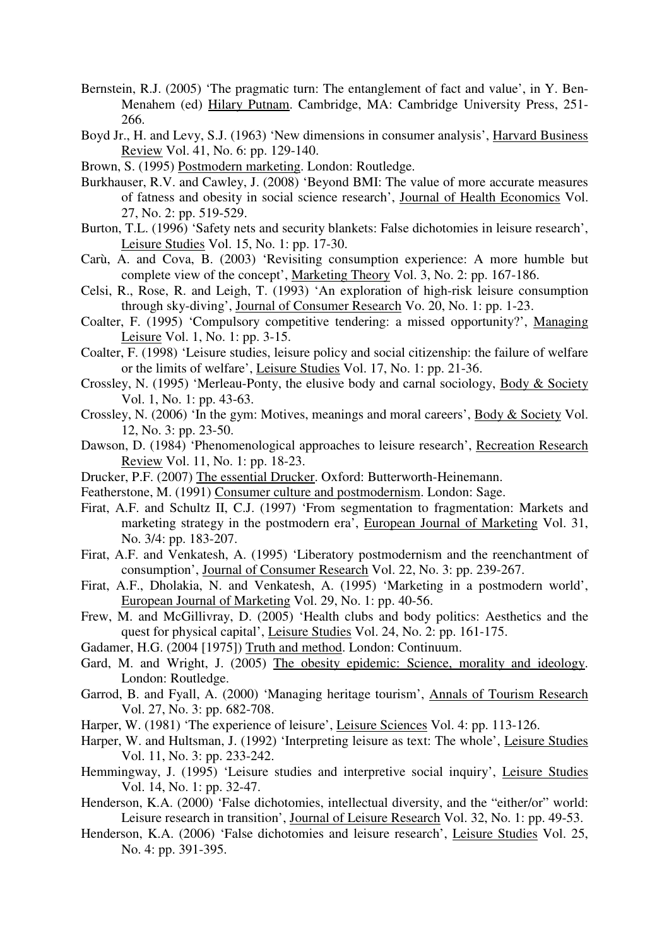- Bernstein, R.J. (2005) 'The pragmatic turn: The entanglement of fact and value', in Y. Ben-Menahem (ed) Hilary Putnam. Cambridge, MA: Cambridge University Press, 251- 266.
- Boyd Jr., H. and Levy, S.J. (1963) 'New dimensions in consumer analysis', Harvard Business Review Vol. 41, No. 6: pp. 129-140.
- Brown, S. (1995) Postmodern marketing. London: Routledge.
- Burkhauser, R.V. and Cawley, J. (2008) 'Beyond BMI: The value of more accurate measures of fatness and obesity in social science research', Journal of Health Economics Vol. 27, No. 2: pp. 519-529.
- Burton, T.L. (1996) 'Safety nets and security blankets: False dichotomies in leisure research', Leisure Studies Vol. 15, No. 1: pp. 17-30.
- Carù, A. and Cova, B. (2003) 'Revisiting consumption experience: A more humble but complete view of the concept', Marketing Theory Vol. 3, No. 2: pp. 167-186.
- Celsi, R., Rose, R. and Leigh, T. (1993) 'An exploration of high-risk leisure consumption through sky-diving', Journal of Consumer Research Vo. 20, No. 1: pp. 1-23.
- Coalter, F. (1995) 'Compulsory competitive tendering: a missed opportunity?', Managing Leisure Vol. 1, No. 1: pp. 3-15.
- Coalter, F. (1998) 'Leisure studies, leisure policy and social citizenship: the failure of welfare or the limits of welfare', Leisure Studies Vol. 17, No. 1: pp. 21-36.
- Crossley, N. (1995) 'Merleau-Ponty, the elusive body and carnal sociology, Body & Society Vol. 1, No. 1: pp. 43-63.
- Crossley, N. (2006) 'In the gym: Motives, meanings and moral careers', Body & Society Vol. 12, No. 3: pp. 23-50.
- Dawson, D. (1984) 'Phenomenological approaches to leisure research', Recreation Research Review Vol. 11, No. 1: pp. 18-23.
- Drucker, P.F. (2007) The essential Drucker. Oxford: Butterworth-Heinemann.
- Featherstone, M. (1991) Consumer culture and postmodernism. London: Sage.
- Firat, A.F. and Schultz II, C.J. (1997) 'From segmentation to fragmentation: Markets and marketing strategy in the postmodern era', European Journal of Marketing Vol. 31, No. 3/4: pp. 183-207.
- Firat, A.F. and Venkatesh, A. (1995) 'Liberatory postmodernism and the reenchantment of consumption', Journal of Consumer Research Vol. 22, No. 3: pp. 239-267.
- Firat, A.F., Dholakia, N. and Venkatesh, A. (1995) 'Marketing in a postmodern world', European Journal of Marketing Vol. 29, No. 1: pp. 40-56.
- Frew, M. and McGillivray, D. (2005) 'Health clubs and body politics: Aesthetics and the quest for physical capital', Leisure Studies Vol. 24, No. 2: pp. 161-175.
- Gadamer, H.G. (2004 [1975]) Truth and method. London: Continuum.
- Gard, M. and Wright, J. (2005) The obesity epidemic: Science, morality and ideology. London: Routledge.
- Garrod, B. and Fyall, A. (2000) 'Managing heritage tourism', Annals of Tourism Research Vol. 27, No. 3: pp. 682-708.
- Harper, W. (1981) 'The experience of leisure', Leisure Sciences Vol. 4: pp. 113-126.
- Harper, W. and Hultsman, J. (1992) 'Interpreting leisure as text: The whole', Leisure Studies Vol. 11, No. 3: pp. 233-242.
- Hemmingway, J. (1995) 'Leisure studies and interpretive social inquiry', Leisure Studies Vol. 14, No. 1: pp. 32-47.
- Henderson, K.A. (2000) 'False dichotomies, intellectual diversity, and the "either/or" world: Leisure research in transition', Journal of Leisure Research Vol. 32, No. 1: pp. 49-53.
- Henderson, K.A. (2006) 'False dichotomies and leisure research', Leisure Studies Vol. 25, No. 4: pp. 391-395.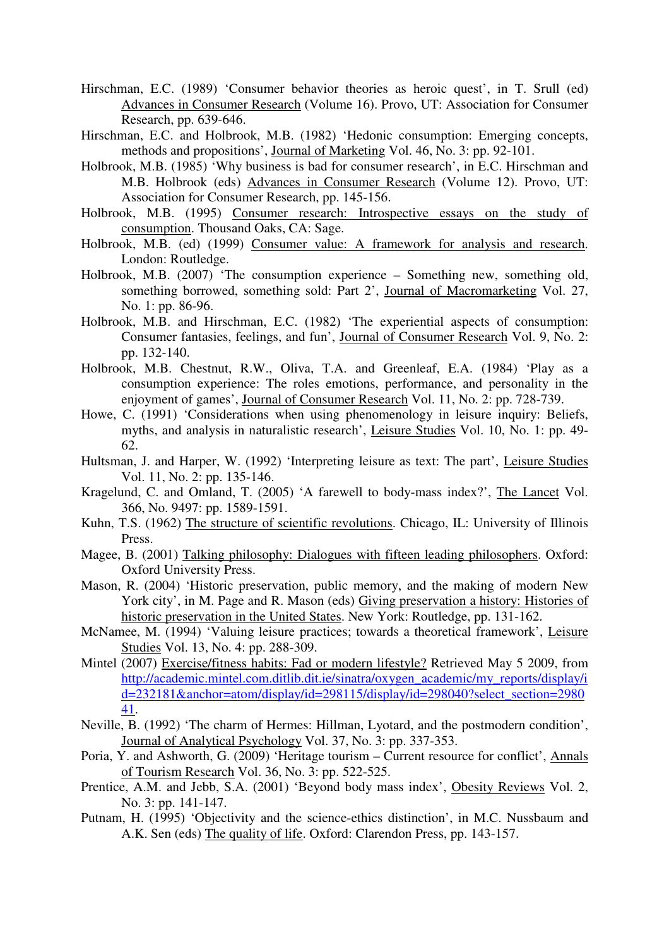- Hirschman, E.C. (1989) 'Consumer behavior theories as heroic quest', in T. Srull (ed) Advances in Consumer Research (Volume 16). Provo, UT: Association for Consumer Research, pp. 639-646.
- Hirschman, E.C. and Holbrook, M.B. (1982) 'Hedonic consumption: Emerging concepts, methods and propositions', Journal of Marketing Vol. 46, No. 3: pp. 92-101.
- Holbrook, M.B. (1985) 'Why business is bad for consumer research', in E.C. Hirschman and M.B. Holbrook (eds) Advances in Consumer Research (Volume 12). Provo, UT: Association for Consumer Research, pp. 145-156.
- Holbrook, M.B. (1995) Consumer research: Introspective essays on the study of consumption. Thousand Oaks, CA: Sage.
- Holbrook, M.B. (ed) (1999) Consumer value: A framework for analysis and research. London: Routledge.
- Holbrook, M.B. (2007) 'The consumption experience Something new, something old, something borrowed, something sold: Part 2', Journal of Macromarketing Vol. 27, No. 1: pp. 86-96.
- Holbrook, M.B. and Hirschman, E.C. (1982) 'The experiential aspects of consumption: Consumer fantasies, feelings, and fun', Journal of Consumer Research Vol. 9, No. 2: pp. 132-140.
- Holbrook, M.B. Chestnut, R.W., Oliva, T.A. and Greenleaf, E.A. (1984) 'Play as a consumption experience: The roles emotions, performance, and personality in the enjoyment of games', Journal of Consumer Research Vol. 11, No. 2: pp. 728-739.
- Howe, C. (1991) 'Considerations when using phenomenology in leisure inquiry: Beliefs, myths, and analysis in naturalistic research', Leisure Studies Vol. 10, No. 1: pp. 49- 62.
- Hultsman, J. and Harper, W. (1992) 'Interpreting leisure as text: The part', Leisure Studies Vol. 11, No. 2: pp. 135-146.
- Kragelund, C. and Omland, T. (2005) 'A farewell to body-mass index?', The Lancet Vol. 366, No. 9497: pp. 1589-1591.
- Kuhn, T.S. (1962) The structure of scientific revolutions. Chicago, IL: University of Illinois Press.
- Magee, B. (2001) Talking philosophy: Dialogues with fifteen leading philosophers. Oxford: Oxford University Press.
- Mason, R. (2004) 'Historic preservation, public memory, and the making of modern New York city', in M. Page and R. Mason (eds) Giving preservation a history: Histories of historic preservation in the United States. New York: Routledge, pp. 131-162.
- McNamee, M. (1994) 'Valuing leisure practices; towards a theoretical framework', Leisure Studies Vol. 13, No. 4: pp. 288-309.
- Mintel (2007) Exercise/fitness habits: Fad or modern lifestyle? Retrieved May 5 2009, from http://academic.mintel.com.ditlib.dit.ie/sinatra/oxygen\_academic/my\_reports/display/i d=232181&anchor=atom/display/id=298115/display/id=298040?select\_section=2980 41.
- Neville, B. (1992) 'The charm of Hermes: Hillman, Lyotard, and the postmodern condition', Journal of Analytical Psychology Vol. 37, No. 3: pp. 337-353.
- Poria, Y. and Ashworth, G. (2009) 'Heritage tourism Current resource for conflict', Annals of Tourism Research Vol. 36, No. 3: pp. 522-525.
- Prentice, A.M. and Jebb, S.A. (2001) 'Beyond body mass index', Obesity Reviews Vol. 2, No. 3: pp. 141-147.
- Putnam, H. (1995) 'Objectivity and the science-ethics distinction', in M.C. Nussbaum and A.K. Sen (eds) The quality of life. Oxford: Clarendon Press, pp. 143-157.